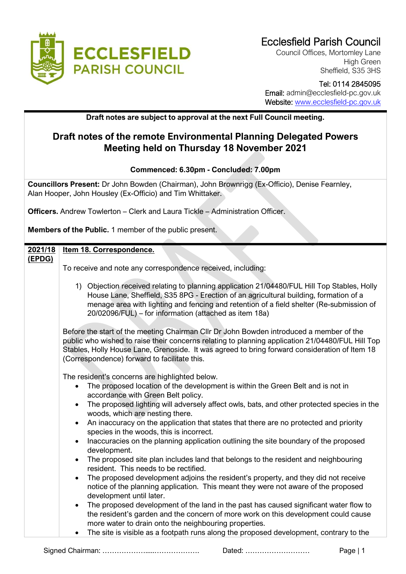

Council Offices, Mortomley Lane High Green Sheffield, S35 3HS

### Tel: 0114 2845095

 Email: admin@ecclesfield-pc.gov.uk Website: [www.ecclesfield-pc.gov.uk](http://www.ecclesfield-pc.gov.uk/)

#### **Draft notes are subject to approval at the next Full Council meeting.**

## **Draft notes of the remote Environmental Planning Delegated Powers Meeting held on Thursday 18 November 2021**

#### **Commenced: 6.30pm - Concluded: 7.00pm**

**Councillors Present:** Dr John Bowden (Chairman), John Brownrigg (Ex-Officio), Denise Fearnley, Alan Hooper, John Housley (Ex-Officio) and Tim Whittaker.

**Officers.** Andrew Towlerton – Clerk and Laura Tickle – Administration Officer.

**Members of the Public.** 1 member of the public present.

| 2021/18 | Item 18. Correspondence.                                                                                                                                                                                                                                                                                                                                                                                                                                                                                                                                                                                                                                                                                                                                                                                                                                                                                                                                                                                                                                                                                                                                                                                                                                      |  |  |  |  |
|---------|---------------------------------------------------------------------------------------------------------------------------------------------------------------------------------------------------------------------------------------------------------------------------------------------------------------------------------------------------------------------------------------------------------------------------------------------------------------------------------------------------------------------------------------------------------------------------------------------------------------------------------------------------------------------------------------------------------------------------------------------------------------------------------------------------------------------------------------------------------------------------------------------------------------------------------------------------------------------------------------------------------------------------------------------------------------------------------------------------------------------------------------------------------------------------------------------------------------------------------------------------------------|--|--|--|--|
| (EPDG)  |                                                                                                                                                                                                                                                                                                                                                                                                                                                                                                                                                                                                                                                                                                                                                                                                                                                                                                                                                                                                                                                                                                                                                                                                                                                               |  |  |  |  |
|         | To receive and note any correspondence received, including:                                                                                                                                                                                                                                                                                                                                                                                                                                                                                                                                                                                                                                                                                                                                                                                                                                                                                                                                                                                                                                                                                                                                                                                                   |  |  |  |  |
|         | 1) Objection received relating to planning application 21/04480/FUL Hill Top Stables, Holly<br>House Lane, Sheffield, S35 8PG - Erection of an agricultural building, formation of a<br>menage area with lighting and fencing and retention of a field shelter (Re-submission of<br>20/02096/FUL) – for information (attached as item 18a)                                                                                                                                                                                                                                                                                                                                                                                                                                                                                                                                                                                                                                                                                                                                                                                                                                                                                                                    |  |  |  |  |
|         | Before the start of the meeting Chairman CIIr Dr John Bowden introduced a member of the<br>public who wished to raise their concerns relating to planning application 21/04480/FUL Hill Top<br>Stables, Holly House Lane, Grenoside. It was agreed to bring forward consideration of Item 18<br>(Correspondence) forward to facilitate this.                                                                                                                                                                                                                                                                                                                                                                                                                                                                                                                                                                                                                                                                                                                                                                                                                                                                                                                  |  |  |  |  |
|         | The resident's concerns are highlighted below.<br>The proposed location of the development is within the Green Belt and is not in<br>accordance with Green Belt policy.<br>The proposed lighting will adversely affect owls, bats, and other protected species in the<br>woods, which are nesting there.<br>An inaccuracy on the application that states that there are no protected and priority<br>$\bullet$<br>species in the woods, this is incorrect.<br>Inaccuracies on the planning application outlining the site boundary of the proposed<br>development.<br>The proposed site plan includes land that belongs to the resident and neighbouring<br>resident. This needs to be rectified.<br>The proposed development adjoins the resident's property, and they did not receive<br>notice of the planning application. This meant they were not aware of the proposed<br>development until later.<br>The proposed development of the land in the past has caused significant water flow to<br>$\bullet$<br>the resident's garden and the concern of more work on this development could cause<br>more water to drain onto the neighbouring properties.<br>The site is visible as a footpath runs along the proposed development, contrary to the<br>٠ |  |  |  |  |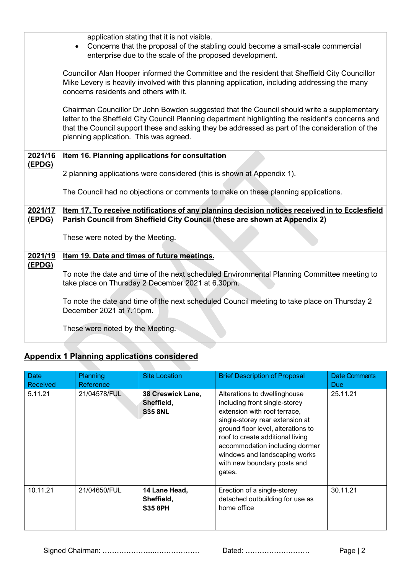|         | application stating that it is not visible.                                                       |  |  |  |  |  |
|---------|---------------------------------------------------------------------------------------------------|--|--|--|--|--|
|         |                                                                                                   |  |  |  |  |  |
|         | Concerns that the proposal of the stabling could become a small-scale commercial                  |  |  |  |  |  |
|         | enterprise due to the scale of the proposed development.                                          |  |  |  |  |  |
|         |                                                                                                   |  |  |  |  |  |
|         | Councillor Alan Hooper informed the Committee and the resident that Sheffield City Councillor     |  |  |  |  |  |
|         |                                                                                                   |  |  |  |  |  |
|         | Mike Levery is heavily involved with this planning application, including addressing the many     |  |  |  |  |  |
|         | concerns residents and others with it.                                                            |  |  |  |  |  |
|         |                                                                                                   |  |  |  |  |  |
|         | Chairman Councillor Dr John Bowden suggested that the Council should write a supplementary        |  |  |  |  |  |
|         | letter to the Sheffield City Council Planning department highlighting the resident's concerns and |  |  |  |  |  |
|         |                                                                                                   |  |  |  |  |  |
|         | that the Council support these and asking they be addressed as part of the consideration of the   |  |  |  |  |  |
|         | planning application. This was agreed.                                                            |  |  |  |  |  |
|         |                                                                                                   |  |  |  |  |  |
| 2021/16 | Item 16. Planning applications for consultation                                                   |  |  |  |  |  |
| (EPDG)  |                                                                                                   |  |  |  |  |  |
|         | 2 planning applications were considered (this is shown at Appendix 1).                            |  |  |  |  |  |
|         |                                                                                                   |  |  |  |  |  |
|         |                                                                                                   |  |  |  |  |  |
|         | The Council had no objections or comments to make on these planning applications.                 |  |  |  |  |  |
|         |                                                                                                   |  |  |  |  |  |
| 2021/17 | Item 17. To receive notifications of any planning decision notices received in to Ecclesfield     |  |  |  |  |  |
| (EPDG)  | Parish Council from Sheffield City Council (these are shown at Appendix 2)                        |  |  |  |  |  |
|         |                                                                                                   |  |  |  |  |  |
|         |                                                                                                   |  |  |  |  |  |
|         | These were noted by the Meeting.                                                                  |  |  |  |  |  |
|         |                                                                                                   |  |  |  |  |  |
| 2021/19 | Item 19. Date and times of future meetings.                                                       |  |  |  |  |  |
| (EPDG)  |                                                                                                   |  |  |  |  |  |
|         | To note the date and time of the next scheduled Environmental Planning Committee meeting to       |  |  |  |  |  |
|         |                                                                                                   |  |  |  |  |  |
|         | take place on Thursday 2 December 2021 at 6.30pm.                                                 |  |  |  |  |  |
|         |                                                                                                   |  |  |  |  |  |
|         | To note the date and time of the next scheduled Council meeting to take place on Thursday 2       |  |  |  |  |  |
|         | December 2021 at 7.15pm.                                                                          |  |  |  |  |  |
|         |                                                                                                   |  |  |  |  |  |
|         | These were noted by the Meeting.                                                                  |  |  |  |  |  |
|         |                                                                                                   |  |  |  |  |  |
|         |                                                                                                   |  |  |  |  |  |

# **Appendix 1 Planning applications considered**

| Date<br>Received | Planning<br>Reference | <b>Site Location</b>                              | <b>Brief Description of Proposal</b>                                                                                                                                                                                                                                                                                   | Date Comments<br><b>Due</b> |
|------------------|-----------------------|---------------------------------------------------|------------------------------------------------------------------------------------------------------------------------------------------------------------------------------------------------------------------------------------------------------------------------------------------------------------------------|-----------------------------|
| 5.11.21          | 21/04578/FUL          | 38 Creswick Lane,<br>Sheffield,<br><b>S35 8NL</b> | Alterations to dwellinghouse<br>including front single-storey<br>extension with roof terrace,<br>single-storey rear extension at<br>ground floor level, alterations to<br>roof to create additional living<br>accommodation including dormer<br>windows and landscaping works<br>with new boundary posts and<br>gates. | 25.11.21                    |
| 10.11.21         | 21/04650/FUL          | 14 Lane Head,<br>Sheffield,<br><b>S35 8PH</b>     | Erection of a single-storey<br>detached outbuilding for use as<br>home office                                                                                                                                                                                                                                          | 30.11.21                    |